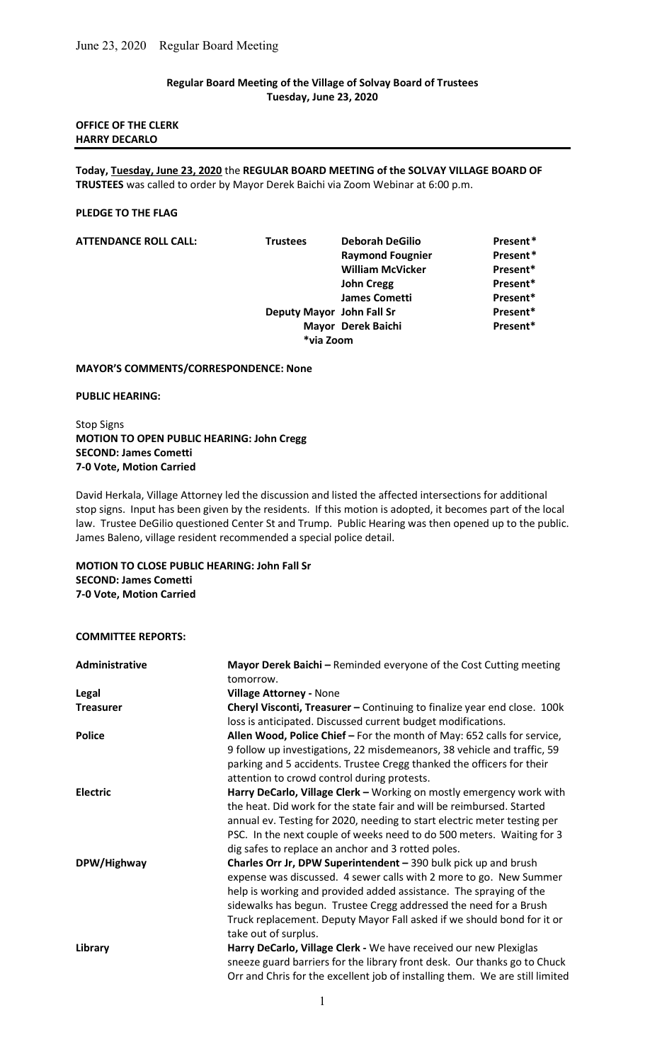# Regular Board Meeting of the Village of Solvay Board of Trustees Tuesday, June 23, 2020

## OFFICE OF THE CLERK HARRY DECARLO

Today, Tuesday, June 23, 2020 the REGULAR BOARD MEETING of the SOLVAY VILLAGE BOARD OF TRUSTEES was called to order by Mayor Derek Baichi via Zoom Webinar at 6:00 p.m.

#### PLEDGE TO THE FLAG

| <b>ATTENDANCE ROLL CALL:</b> | <b>Trustees</b> | <b>Deborah DeGilio</b>    | Present* |
|------------------------------|-----------------|---------------------------|----------|
|                              |                 | <b>Raymond Fougnier</b>   | Present* |
|                              |                 | <b>William McVicker</b>   | Present* |
|                              |                 | <b>John Cregg</b>         | Present* |
|                              |                 | <b>James Cometti</b>      | Present* |
|                              |                 | Deputy Mayor John Fall Sr | Present* |
|                              |                 | Mayor Derek Baichi        | Present* |
|                              |                 | *via Zoom                 |          |

#### MAYOR'S COMMENTS/CORRESPONDENCE: None

#### PUBLIC HEARING:

Stop Signs MOTION TO OPEN PUBLIC HEARING: John Cregg SECOND: James Cometti 7-0 Vote, Motion Carried

David Herkala, Village Attorney led the discussion and listed the affected intersections for additional stop signs. Input has been given by the residents. If this motion is adopted, it becomes part of the local law. Trustee DeGilio questioned Center St and Trump. Public Hearing was then opened up to the public. James Baleno, village resident recommended a special police detail.

# MOTION TO CLOSE PUBLIC HEARING: John Fall Sr SECOND: James Cometti 7-0 Vote, Motion Carried

## COMMITTEE REPORTS:

| Administrative   | Mayor Derek Baichi - Reminded everyone of the Cost Cutting meeting<br>tomorrow.                                                                                                                                                                                                                                                                                                    |
|------------------|------------------------------------------------------------------------------------------------------------------------------------------------------------------------------------------------------------------------------------------------------------------------------------------------------------------------------------------------------------------------------------|
| Legal            | <b>Village Attorney - None</b>                                                                                                                                                                                                                                                                                                                                                     |
| <b>Treasurer</b> | Cheryl Visconti, Treasurer - Continuing to finalize year end close. 100k<br>loss is anticipated. Discussed current budget modifications.                                                                                                                                                                                                                                           |
| <b>Police</b>    | Allen Wood, Police Chief - For the month of May: 652 calls for service,<br>9 follow up investigations, 22 misdemeanors, 38 vehicle and traffic, 59<br>parking and 5 accidents. Trustee Cregg thanked the officers for their<br>attention to crowd control during protests.                                                                                                         |
| <b>Electric</b>  | Harry DeCarlo, Village Clerk - Working on mostly emergency work with<br>the heat. Did work for the state fair and will be reimbursed. Started<br>annual ev. Testing for 2020, needing to start electric meter testing per<br>PSC. In the next couple of weeks need to do 500 meters. Waiting for 3<br>dig safes to replace an anchor and 3 rotted poles.                           |
| DPW/Highway      | Charles Orr Jr, DPW Superintendent - 390 bulk pick up and brush<br>expense was discussed. 4 sewer calls with 2 more to go. New Summer<br>help is working and provided added assistance. The spraying of the<br>sidewalks has begun. Trustee Cregg addressed the need for a Brush<br>Truck replacement. Deputy Mayor Fall asked if we should bond for it or<br>take out of surplus. |
| Library          | Harry DeCarlo, Village Clerk - We have received our new Plexiglas<br>sneeze guard barriers for the library front desk. Our thanks go to Chuck<br>Orr and Chris for the excellent job of installing them. We are still limited                                                                                                                                                      |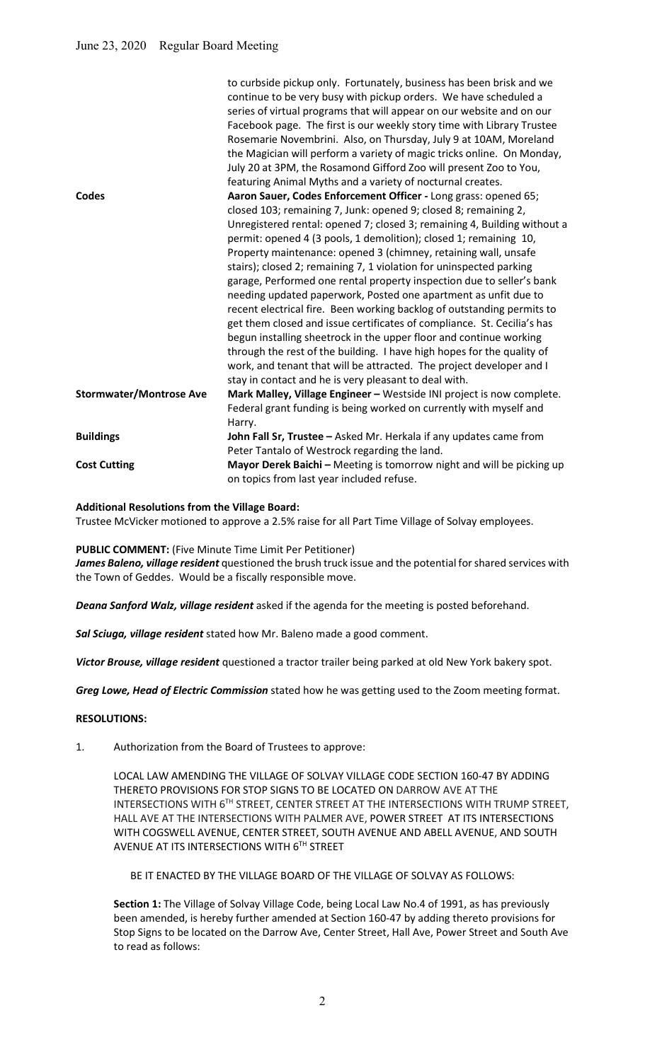|                                | to curbside pickup only. Fortunately, business has been brisk and we<br>continue to be very busy with pickup orders. We have scheduled a<br>series of virtual programs that will appear on our website and on our<br>Facebook page. The first is our weekly story time with Library Trustee<br>Rosemarie Novembrini. Also, on Thursday, July 9 at 10AM, Moreland<br>the Magician will perform a variety of magic tricks online. On Monday,<br>July 20 at 3PM, the Rosamond Gifford Zoo will present Zoo to You,<br>featuring Animal Myths and a variety of nocturnal creates. |
|--------------------------------|-------------------------------------------------------------------------------------------------------------------------------------------------------------------------------------------------------------------------------------------------------------------------------------------------------------------------------------------------------------------------------------------------------------------------------------------------------------------------------------------------------------------------------------------------------------------------------|
| Codes                          | Aaron Sauer, Codes Enforcement Officer - Long grass: opened 65;                                                                                                                                                                                                                                                                                                                                                                                                                                                                                                               |
|                                | closed 103; remaining 7, Junk: opened 9; closed 8; remaining 2,                                                                                                                                                                                                                                                                                                                                                                                                                                                                                                               |
|                                | Unregistered rental: opened 7; closed 3; remaining 4, Building without a                                                                                                                                                                                                                                                                                                                                                                                                                                                                                                      |
|                                | permit: opened 4 (3 pools, 1 demolition); closed 1; remaining 10,                                                                                                                                                                                                                                                                                                                                                                                                                                                                                                             |
|                                | Property maintenance: opened 3 (chimney, retaining wall, unsafe                                                                                                                                                                                                                                                                                                                                                                                                                                                                                                               |
|                                | stairs); closed 2; remaining 7, 1 violation for uninspected parking                                                                                                                                                                                                                                                                                                                                                                                                                                                                                                           |
|                                | garage, Performed one rental property inspection due to seller's bank                                                                                                                                                                                                                                                                                                                                                                                                                                                                                                         |
|                                | needing updated paperwork, Posted one apartment as unfit due to                                                                                                                                                                                                                                                                                                                                                                                                                                                                                                               |
|                                | recent electrical fire. Been working backlog of outstanding permits to                                                                                                                                                                                                                                                                                                                                                                                                                                                                                                        |
|                                | get them closed and issue certificates of compliance. St. Cecilia's has                                                                                                                                                                                                                                                                                                                                                                                                                                                                                                       |
|                                | begun installing sheetrock in the upper floor and continue working                                                                                                                                                                                                                                                                                                                                                                                                                                                                                                            |
|                                | through the rest of the building. I have high hopes for the quality of                                                                                                                                                                                                                                                                                                                                                                                                                                                                                                        |
|                                | work, and tenant that will be attracted. The project developer and I                                                                                                                                                                                                                                                                                                                                                                                                                                                                                                          |
|                                | stay in contact and he is very pleasant to deal with.                                                                                                                                                                                                                                                                                                                                                                                                                                                                                                                         |
| <b>Stormwater/Montrose Ave</b> | Mark Malley, Village Engineer - Westside INI project is now complete.                                                                                                                                                                                                                                                                                                                                                                                                                                                                                                         |
|                                | Federal grant funding is being worked on currently with myself and                                                                                                                                                                                                                                                                                                                                                                                                                                                                                                            |
|                                | Harry.                                                                                                                                                                                                                                                                                                                                                                                                                                                                                                                                                                        |
| <b>Buildings</b>               | John Fall Sr, Trustee - Asked Mr. Herkala if any updates came from                                                                                                                                                                                                                                                                                                                                                                                                                                                                                                            |
|                                | Peter Tantalo of Westrock regarding the land.                                                                                                                                                                                                                                                                                                                                                                                                                                                                                                                                 |
| <b>Cost Cutting</b>            | Mayor Derek Baichi - Meeting is tomorrow night and will be picking up                                                                                                                                                                                                                                                                                                                                                                                                                                                                                                         |
|                                | on topics from last year included refuse.                                                                                                                                                                                                                                                                                                                                                                                                                                                                                                                                     |

#### Additional Resolutions from the Village Board:

Trustee McVicker motioned to approve a 2.5% raise for all Part Time Village of Solvay employees.

PUBLIC COMMENT: (Five Minute Time Limit Per Petitioner)

James Baleno, village resident questioned the brush truck issue and the potential for shared services with the Town of Geddes. Would be a fiscally responsible move.

Deana Sanford Walz, village resident asked if the agenda for the meeting is posted beforehand.

Sal Sciuga, village resident stated how Mr. Baleno made a good comment.

Victor Brouse, village resident questioned a tractor trailer being parked at old New York bakery spot.

Greg Lowe, Head of Electric Commission stated how he was getting used to the Zoom meeting format.

### RESOLUTIONS:

1. Authorization from the Board of Trustees to approve:

 LOCAL LAW AMENDING THE VILLAGE OF SOLVAY VILLAGE CODE SECTION 160-47 BY ADDING THERETO PROVISIONS FOR STOP SIGNS TO BE LOCATED ON DARROW AVE AT THE INTERSECTIONS WITH 6TH STREET, CENTER STREET AT THE INTERSECTIONS WITH TRUMP STREET, HALL AVE AT THE INTERSECTIONS WITH PALMER AVE, POWER STREET AT ITS INTERSECTIONS WITH COGSWELL AVENUE, CENTER STREET, SOUTH AVENUE AND ABELL AVENUE, AND SOUTH AVENUE AT ITS INTERSECTIONS WITH 6TH STREET

BE IT ENACTED BY THE VILLAGE BOARD OF THE VILLAGE OF SOLVAY AS FOLLOWS:

Section 1: The Village of Solvay Village Code, being Local Law No.4 of 1991, as has previously been amended, is hereby further amended at Section 160-47 by adding thereto provisions for Stop Signs to be located on the Darrow Ave, Center Street, Hall Ave, Power Street and South Ave to read as follows: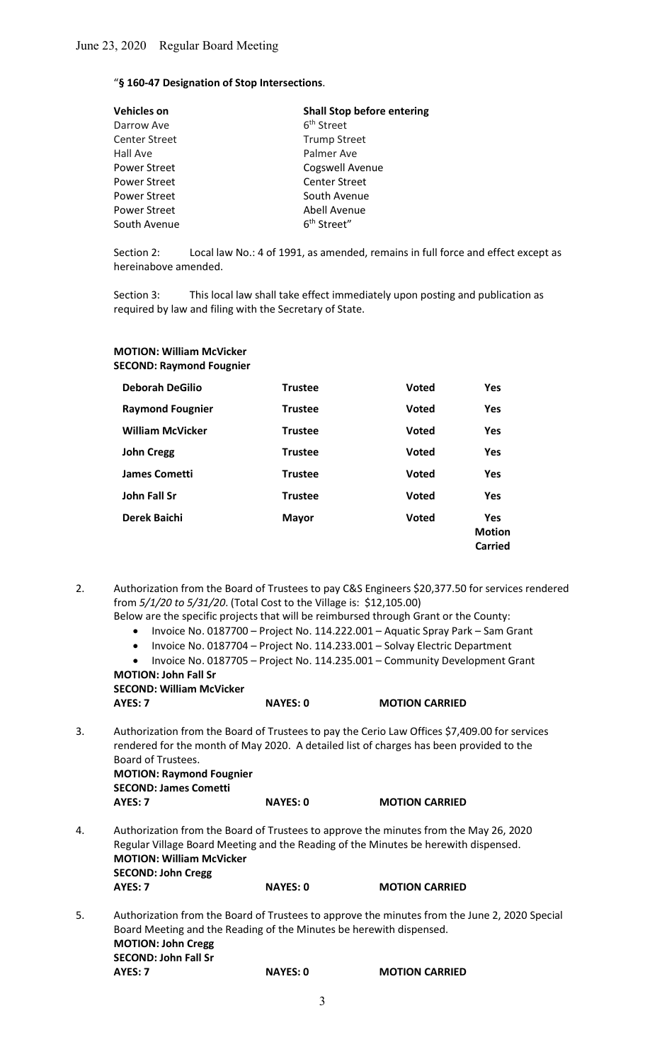### "§ 160-47 Designation of Stop Intersections.

| <b>Shall Stop before entering</b> |
|-----------------------------------|
| 6 <sup>th</sup> Street            |
| <b>Trump Street</b>               |
| Palmer Ave                        |
| Cogswell Avenue                   |
| <b>Center Street</b>              |
| South Avenue                      |
| Abell Avenue                      |
| 6 <sup>th</sup> Street"           |
|                                   |

Section 2: Local law No.: 4 of 1991, as amended, remains in full force and effect except as hereinabove amended.

 Section 3: This local law shall take effect immediately upon posting and publication as required by law and filing with the Secretary of State.

# MOTION: William McVicker SECOND: Raymond Fougnier

| <b>Deborah DeGilio</b>  | <b>Trustee</b> | <b>Voted</b> | <b>Yes</b>                             |
|-------------------------|----------------|--------------|----------------------------------------|
| <b>Raymond Fougnier</b> | <b>Trustee</b> | <b>Voted</b> | <b>Yes</b>                             |
| <b>William McVicker</b> | <b>Trustee</b> | <b>Voted</b> | <b>Yes</b>                             |
| <b>John Cregg</b>       | <b>Trustee</b> | <b>Voted</b> | <b>Yes</b>                             |
| James Cometti           | <b>Trustee</b> | <b>Voted</b> | <b>Yes</b>                             |
| John Fall Sr            | <b>Trustee</b> | <b>Voted</b> | <b>Yes</b>                             |
| Derek Baichi            | <b>Mayor</b>   | <b>Voted</b> | <b>Yes</b><br><b>Motion</b><br>Carried |

- 2. Authorization from the Board of Trustees to pay C&S Engineers \$20,377.50 for services rendered from 5/1/20 to 5/31/20. (Total Cost to the Village is: \$12,105.00)
	- Below are the specific projects that will be reimbursed through Grant or the County:
		- Invoice No. 0187700 Project No. 114.222.001 Aquatic Spray Park Sam Grant
		- Invoice No. 0187704 Project No. 114.233.001 Solvay Electric Department
	- Invoice No. 0187705 Project No. 114.235.001 Community Development Grant MOTION: John Fall Sr

 SECOND: William McVicker AYES: 7 NAYES: 0 MOTION CARRIED

3. Authorization from the Board of Trustees to pay the Cerio Law Offices \$7,409.00 for services rendered for the month of May 2020. A detailed list of charges has been provided to the Board of Trustees.

 MOTION: Raymond Fougnier SECOND: James Cometti

- AYES: 7 NAYES: 0 MOTION CARRIED
- 4. Authorization from the Board of Trustees to approve the minutes from the May 26, 2020 Regular Village Board Meeting and the Reading of the Minutes be herewith dispensed. MOTION: William McVicker SECOND: John Cregg AYES: 7 NAYES: 0 MOTION CARRIED
- 5. Authorization from the Board of Trustees to approve the minutes from the June 2, 2020 Special Board Meeting and the Reading of the Minutes be herewith dispensed. MOTION: John Cregg SECOND: John Fall Sr AYES: 7 NAYES: 0 MOTION CARRIED